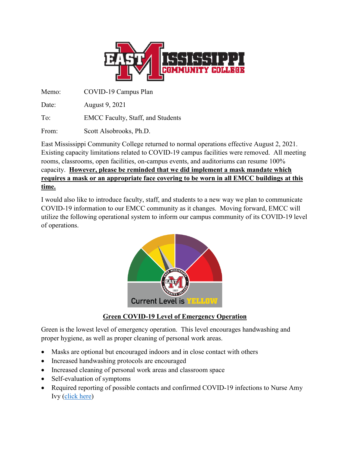

Memo: COVID-19 Campus Plan

Date: August 9, 2021

To: EMCC Faculty, Staff, and Students

From: Scott Alsobrooks, Ph.D.

East Mississippi Community College returned to normal operations effective August 2, 2021. Existing capacity limitations related to COVID-19 campus facilities were removed. All meeting rooms, classrooms, open facilities, on-campus events, and auditoriums can resume 100% capacity. **However, please be reminded that we did implement a mask mandate which requires a mask or an appropriate face covering to be worn in all EMCC buildings at this time.**

I would also like to introduce faculty, staff, and students to a new way we plan to communicate COVID-19 information to our EMCC community as it changes. Moving forward, EMCC will utilize the following operational system to inform our campus community of its COVID-19 level of operations.



# **Green COVID-19 Level of Emergency Operation**

Green is the lowest level of emergency operation. This level encourages handwashing and proper hygiene, as well as proper cleaning of personal work areas.

- Masks are optional but encouraged indoors and in close contact with others
- Increased handwashing protocols are encouraged
- Increased cleaning of personal work areas and classroom space
- Self-evaluation of symptoms
- Required reporting of possible contacts and confirmed COVID-19 infections to Nurse Amy Ivy [\(click here\)](https://fs26.formsite.com/EastMS/oxf7wbx0uj/index.html)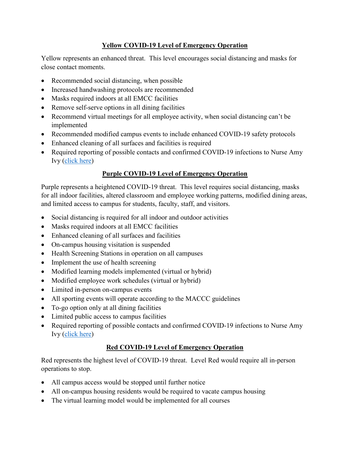# **Yellow COVID-19 Level of Emergency Operation**

Yellow represents an enhanced threat. This level encourages social distancing and masks for close contact moments.

- Recommended social distancing, when possible
- Increased handwashing protocols are recommended
- Masks required indoors at all EMCC facilities
- Remove self-serve options in all dining facilities
- Recommend virtual meetings for all employee activity, when social distancing can't be implemented
- Recommended modified campus events to include enhanced COVID-19 safety protocols
- Enhanced cleaning of all surfaces and facilities is required
- Required reporting of possible contacts and confirmed COVID-19 infections to Nurse Amy Ivy [\(click here\)](https://fs26.formsite.com/EastMS/oxf7wbx0uj/index.html)

# **Purple COVID-19 Level of Emergency Operation**

Purple represents a heightened COVID-19 threat. This level requires social distancing, masks for all indoor facilities, altered classroom and employee working patterns, modified dining areas, and limited access to campus for students, faculty, staff, and visitors.

- Social distancing is required for all indoor and outdoor activities
- Masks required indoors at all EMCC facilities
- Enhanced cleaning of all surfaces and facilities
- On-campus housing visitation is suspended
- Health Screening Stations in operation on all campuses
- Implement the use of health screening
- Modified learning models implemented (virtual or hybrid)
- Modified employee work schedules (virtual or hybrid)
- Limited in-person on-campus events
- All sporting events will operate according to the MACCC guidelines
- To-go option only at all dining facilities
- Limited public access to campus facilities
- Required reporting of possible contacts and confirmed COVID-19 infections to Nurse Amy Ivy [\(click here\)](https://fs26.formsite.com/EastMS/oxf7wbx0uj/index.html)

# **Red COVID-19 Level of Emergency Operation**

Red represents the highest level of COVID-19 threat. Level Red would require all in-person operations to stop.

- All campus access would be stopped until further notice
- All on-campus housing residents would be required to vacate campus housing
- The virtual learning model would be implemented for all courses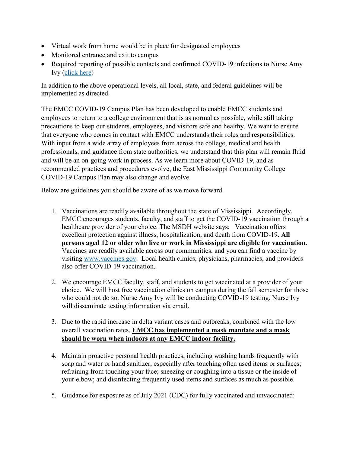- Virtual work from home would be in place for designated employees
- Monitored entrance and exit to campus
- Required reporting of possible contacts and confirmed COVID-19 infections to Nurse Amy Ivy [\(click here\)](https://fs26.formsite.com/EastMS/oxf7wbx0uj/index.html)

In addition to the above operational levels, all local, state, and federal guidelines will be implemented as directed.

The EMCC COVID-19 Campus Plan has been developed to enable EMCC students and employees to return to a college environment that is as normal as possible, while still taking precautions to keep our students, employees, and visitors safe and healthy. We want to ensure that everyone who comes in contact with EMCC understands their roles and responsibilities. With input from a wide array of employees from across the college, medical and health professionals, and guidance from state authorities, we understand that this plan will remain fluid and will be an on-going work in process. As we learn more about COVID-19, and as recommended practices and procedures evolve, the East Mississippi Community College COVID-19 Campus Plan may also change and evolve.

Below are guidelines you should be aware of as we move forward.

- 1. Vaccinations are readily available throughout the state of Mississippi. Accordingly, EMCC encourages students, faculty, and staff to get the COVID-19 vaccination through a healthcare provider of your choice. The MSDH website says: Vaccination offers excellent protection against illness, hospitalization, and death from COVID-19. **All persons aged 12 or older who live or work in Mississippi are eligible for vaccination.** Vaccines are readily available across our communities, and you can find a vaccine by visiting [www.vaccines.gov.](http://www.vaccines.gov/) Local health clinics, physicians, pharmacies, and providers also offer COVID-19 vaccination.
- 2. We encourage EMCC faculty, staff, and students to get vaccinated at a provider of your choice. We will host free vaccination clinics on campus during the fall semester for those who could not do so. Nurse Amy Ivy will be conducting COVID-19 testing. Nurse Ivy will disseminate testing information via email.
- 3. Due to the rapid increase in delta variant cases and outbreaks, combined with the low overall vaccination rates, **EMCC has implemented a mask mandate and a mask should be worn when indoors at any EMCC indoor facility.**
- 4. Maintain proactive personal health practices, including washing hands frequently with soap and water or hand sanitizer, especially after touching often used items or surfaces; refraining from touching your face; sneezing or coughing into a tissue or the inside of your elbow; and disinfecting frequently used items and surfaces as much as possible.
- 5. Guidance for exposure as of July 2021 (CDC) for fully vaccinated and unvaccinated: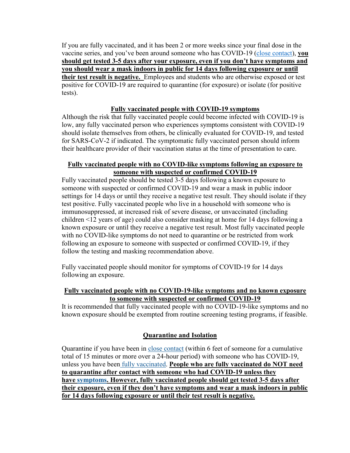If you are fully vaccinated, and it has been 2 or more weeks since your final dose in the vaccine series, and you've been around someone who has COVID-19 [\(close contact\)](https://www.cdc.gov/coronavirus/2019-ncov/php/contact-tracing/contact-tracing-plan/appendix.html#contactc), **you should get tested 3-5 days after your exposure, even if you don't have symptoms and you should wear a mask indoors in public for 14 days following exposure or until their test result is negative.** Employees and students who are otherwise exposed or test positive for COVID-19 are required to quarantine (for exposure) or isolate (for positive tests).

#### **Fully vaccinated people with COVID-19 symptoms**

Although the risk that fully vaccinated people could become infected with COVID-19 is low, any fully vaccinated person who experiences symptoms consistent with COVID-19 should isolate themselves from others, be clinically evaluated for COVID-19, and tested for SARS-CoV-2 if indicated. The symptomatic fully vaccinated person should inform their healthcare provider of their vaccination status at the time of presentation to care.

#### **Fully vaccinated people with no COVID-like symptoms following an exposure to someone with suspected or confirmed COVID-19**

Fully vaccinated people should be tested 3-5 days following a known exposure to someone with suspected or confirmed COVID-19 and wear a mask in public indoor settings for 14 days or until they receive a negative test result. They should isolate if they test positive. Fully vaccinated people who live in a household with someone who is immunosuppressed, at increased risk of severe disease, or unvaccinated (including children <12 years of age) could also consider masking at home for 14 days following a known exposure or until they receive a negative test result. Most fully vaccinated people with no COVID-like symptoms do not need to quarantine or be restricted from work following an exposure to someone with suspected or confirmed COVID-19, if they follow the testing and masking recommendation above.

Fully vaccinated people should monitor for symptoms of COVID-19 for 14 days following an exposure.

#### **Fully vaccinated people with no COVID-19-like symptoms and no known exposure to someone with suspected or confirmed COVID-19**

It is recommended that fully vaccinated people with no COVID-19-like symptoms and no known exposure should be exempted from routine screening testing programs, if feasible.

### **Quarantine and Isolation**

Quarantine if you have been in [close contact](https://www.cdc.gov/coronavirus/2019-ncov/php/contact-tracing/contact-tracing-plan/appendix.html#contact) (within 6 feet of someone for a cumulative total of 15 minutes or more over a 24-hour period) with someone who has COVID-19, unless you have been [fully vaccinated.](https://www.cdc.gov/coronavirus/2019-ncov/vaccines/fully-vaccinated.html) **People who are fully vaccinated do NOT need to quarantine after contact with someone who had COVID-19 unless they have [symptoms.](https://www.cdc.gov/coronavirus/2019-ncov/symptoms-testing/symptoms.html) However, fully vaccinated people should get tested 3-5 days after their exposure, even if they don't have symptoms and wear a mask indoors in public for 14 days following exposure or until their test result is negative.**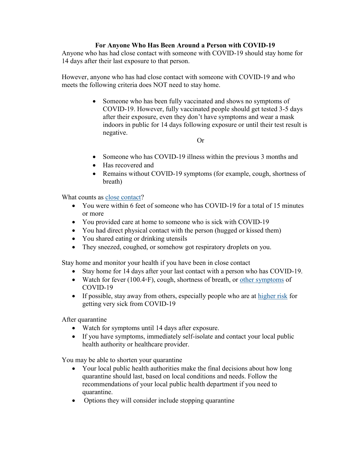### **For Anyone Who Has Been Around a Person with COVID-19**

Anyone who has had close contact with someone with COVID-19 should stay home for 14 days after their last exposure to that person.

However, anyone who has had close contact with someone with COVID-19 and who meets the following criteria does NOT need to stay home.

> • Someone who has been fully vaccinated and shows no symptoms of COVID-19. However, fully vaccinated people should get tested 3-5 days after their exposure, even they don't have symptoms and wear a mask indoors in public for 14 days following exposure or until their test result is negative.

> > Or

- Someone who has COVID-19 illness within the previous 3 months and
- Has recovered and
- Remains without COVID-19 symptoms (for example, cough, shortness of breath)

What counts as [close contact?](https://www.cdc.gov/coronavirus/2019-ncov/php/contact-tracing/contact-tracing-plan/appendix.html#contact)

- You were within 6 feet of someone who has COVID-19 for a total of 15 minutes or more
- You provided care at home to someone who is sick with COVID-19
- You had direct physical contact with the person (hugged or kissed them)
- You shared eating or drinking utensils
- They sneezed, coughed, or somehow got respiratory droplets on you.

Stay home and monitor your health if you have been in close contact

- Stay home for 14 days after your last contact with a person who has COVID-19.
- Watch for fever (100.4◦F), cough, shortness of breath, or [other symptoms](https://www.cdc.gov/coronavirus/2019-ncov/symptoms-testing/symptoms.html) of COVID-19
- If possible, stay away from others, especially people who are at [higher risk](https://www.cdc.gov/coronavirus/2019-ncov/need-extra-precautions/people-at-higher-risk.html) for getting very sick from COVID-19

After quarantine

- Watch for symptoms until 14 days after exposure.
- If you have symptoms, immediately self-isolate and contact your local public health authority or healthcare provider.

You may be able to shorten your quarantine

- Your local public health authorities make the final decisions about how long quarantine should last, based on local conditions and needs. Follow the recommendations of your local public health department if you need to quarantine.
- Options they will consider include stopping quarantine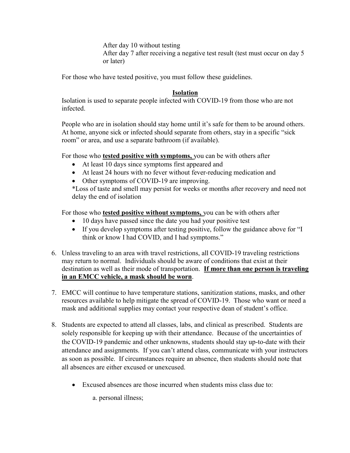After day 10 without testing After day 7 after receiving a negative test result (test must occur on day 5 or later)

For those who have tested positive, you must follow these guidelines.

### **Isolation**

Isolation is used to separate people infected with COVID-19 from those who are not infected.

People who are in isolation should stay home until it's safe for them to be around others. At home, anyone sick or infected should separate from others, stay in a specific "sick room" or area, and use a separate bathroom (if available).

For those who **tested positive with symptoms,** you can be with others after

- At least 10 days since symptoms first appeared and
- At least 24 hours with no fever without fever-reducing medication and
- Other symptoms of COVID-19 are improving.

\*Loss of taste and smell may persist for weeks or months after recovery and need not delay the end of isolation

For those who **tested positive without symptoms,** you can be with others after

- 10 days have passed since the date you had your positive test
- If you develop symptoms after testing positive, follow the guidance above for "I think or know I had COVID, and I had symptoms."
- 6. Unless traveling to an area with travel restrictions, all COVID-19 traveling restrictions may return to normal. Individuals should be aware of conditions that exist at their destination as well as their mode of transportation. **If more than one person is traveling in an EMCC vehicle, a mask should be worn**.
- 7. EMCC will continue to have temperature stations, sanitization stations, masks, and other resources available to help mitigate the spread of COVID-19. Those who want or need a mask and additional supplies may contact your respective dean of student's office.
- 8. Students are expected to attend all classes, labs, and clinical as prescribed. Students are solely responsible for keeping up with their attendance. Because of the uncertainties of the COVID-19 pandemic and other unknowns, students should stay up-to-date with their attendance and assignments. If you can't attend class, communicate with your instructors as soon as possible. If circumstances require an absence, then students should note that all absences are either excused or unexcused.
	- Excused absences are those incurred when students miss class due to:

a. personal illness;